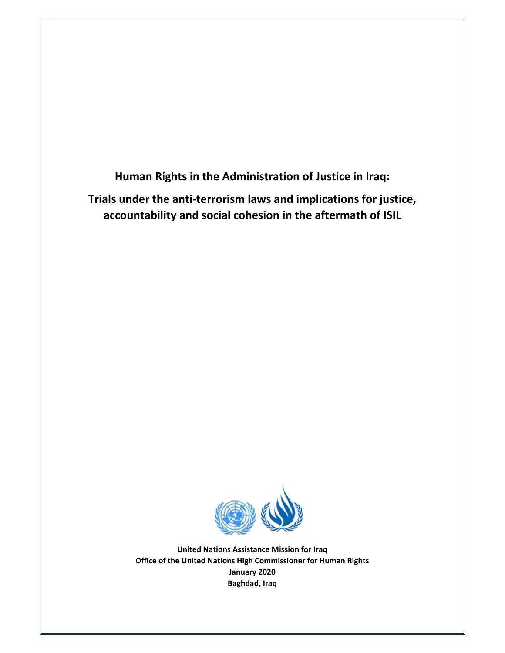**Human Rights in the Administration of Justice in Iraq: Trials under the anti‐terrorism laws and implications for justice, accountability and social cohesion in the aftermath of ISIL**



**United Nations Assistance Mission for Iraq Office of the United Nations High Commissioner for Human Rights January 2020 Baghdad, Iraq**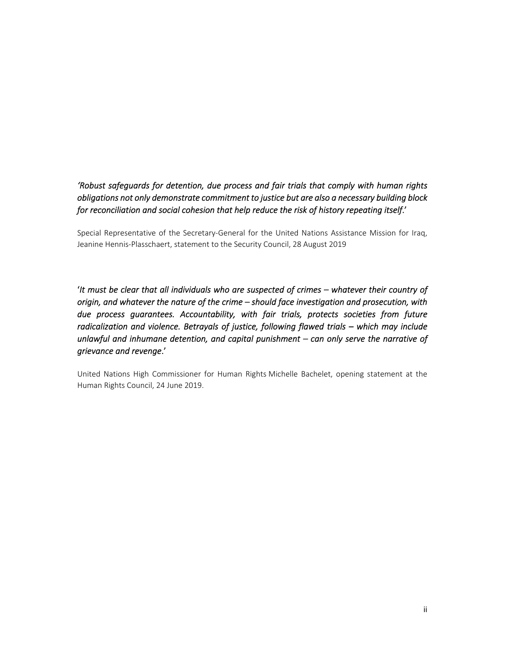# *'Robust safeguards for detention, due process and fair trials that comply with human rights obligations not only demonstrate commitment to justice but are also a necessary building block for reconciliation and social cohesion that help reduce the risk of history repeating itself*.'

Special Representative of the Secretary-General for the United Nations Assistance Mission for Iraq, Jeanine Hennis-Plasschaert, statement to the Security Council, 28 August 2019

'*It must be clear that all individuals who are suspected of crimes – whatever their country of origin, and whatever the nature of the crime – should face investigation and prosecution, with due process guarantees. Accountability, with fair trials, protects societies from future radicalization and violence. Betrayals of justice, following flawed trials – which may include unlawful and inhumane detention, and capital punishment – can only serve the narrative of grievance and revenge*.'

United Nations High Commissioner for Human Rights Michelle Bachelet, opening statement at the Human Rights Council, 24 June 2019.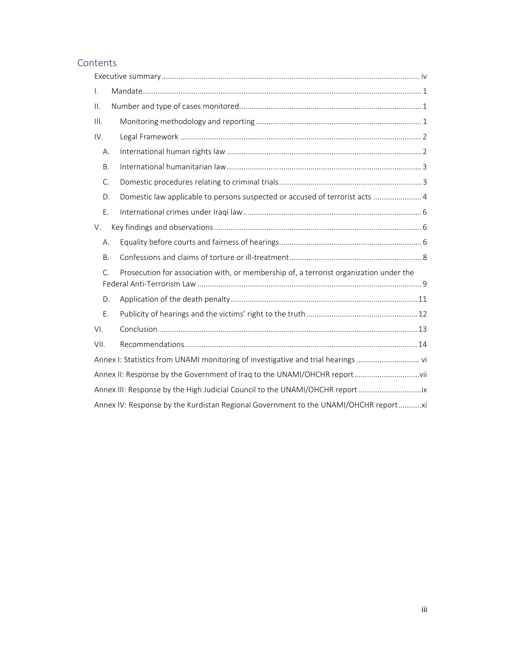# Contents

| $\mathsf{L}$    |                                                                                        |
|-----------------|----------------------------------------------------------------------------------------|
| $\mathbf{II}$ . |                                                                                        |
| III.            |                                                                                        |
| IV.             |                                                                                        |
| Α.              |                                                                                        |
| Β.              |                                                                                        |
| C.              |                                                                                        |
| D.              | Domestic law applicable to persons suspected or accused of terrorist acts  4           |
| Ε.              |                                                                                        |
| V.              |                                                                                        |
| А.              |                                                                                        |
| B.              |                                                                                        |
| $\mathsf{C}$ .  | Prosecution for association with, or membership of, a terrorist organization under the |
| D.              |                                                                                        |
| Ε.              |                                                                                        |
| VI.             |                                                                                        |
| VII.            |                                                                                        |
|                 | Annex I: Statistics from UNAMI monitoring of investigative and trial hearings          |
|                 |                                                                                        |
|                 | Annex III: Response by the High Judicial Council to the UNAMI/OHCHR report             |
|                 | Annex IV: Response by the Kurdistan Regional Government to the UNAMI/OHCHR report      |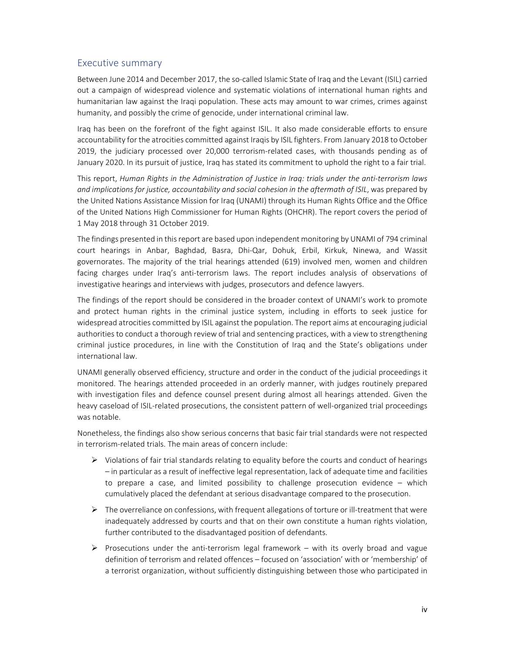## Executive summary

Between June 2014 and December 2017, the so-called Islamic State of Iraq and the Levant (ISIL) carried out a campaign of widespread violence and systematic violations of international human rights and humanitarian law against the Iraqi population. These acts may amount to war crimes, crimes against humanity, and possibly the crime of genocide, under international criminal law.

Iraq has been on the forefront of the fight against ISIL. It also made considerable efforts to ensure accountability for the atrocities committed against Iraqis by ISIL fighters. From January 2018 to October 2019, the judiciary processed over 20,000 terrorism-related cases, with thousands pending as of January 2020. In its pursuit of justice, Iraq has stated its commitment to uphold the right to a fair trial.

This report, *Human Rights in the Administration of Justice in Iraq: trials under the anti‐terrorism laws and implications for justice, accountability and social cohesion in the aftermath of ISIL*, was prepared by the United Nations Assistance Mission for Iraq (UNAMI) through its Human Rights Office and the Office of the United Nations High Commissioner for Human Rights (OHCHR). The report covers the period of 1 May 2018 through 31 October 2019.

The findings presented in this report are based upon independent monitoring by UNAMI of 794 criminal court hearings in Anbar, Baghdad, Basra, Dhi‐Qar, Dohuk, Erbil, Kirkuk, Ninewa, and Wassit governorates. The majority of the trial hearings attended (619) involved men, women and children facing charges under Iraq's anti-terrorism laws. The report includes analysis of observations of investigative hearings and interviews with judges, prosecutors and defence lawyers.

The findings of the report should be considered in the broader context of UNAMI's work to promote and protect human rights in the criminal justice system, including in efforts to seek justice for widespread atrocities committed by ISIL against the population. The report aims at encouraging judicial authorities to conduct a thorough review of trial and sentencing practices, with a view to strengthening criminal justice procedures, in line with the Constitution of Iraq and the State's obligations under international law.

UNAMI generally observed efficiency, structure and order in the conduct of the judicial proceedings it monitored. The hearings attended proceeded in an orderly manner, with judges routinely prepared with investigation files and defence counsel present during almost all hearings attended. Given the heavy caseload of ISIL-related prosecutions, the consistent pattern of well-organized trial proceedings was notable.

Nonetheless, the findings also show serious concerns that basic fair trial standards were not respected in terrorism-related trials. The main areas of concern include:

- $\triangleright$  Violations of fair trial standards relating to equality before the courts and conduct of hearings – in particular as a result of ineffective legal representation, lack of adequate time and facilities to prepare a case, and limited possibility to challenge prosecution evidence  $-$  which cumulatively placed the defendant at serious disadvantage compared to the prosecution.
- $\triangleright$  The overreliance on confessions, with frequent allegations of torture or ill-treatment that were inadequately addressed by courts and that on their own constitute a human rights violation, further contributed to the disadvantaged position of defendants.
- Prosecutions under the anti-terrorism legal framework with its overly broad and vague definition of terrorism and related offences – focused on 'association' with or 'membership' of a terrorist organization, without sufficiently distinguishing between those who participated in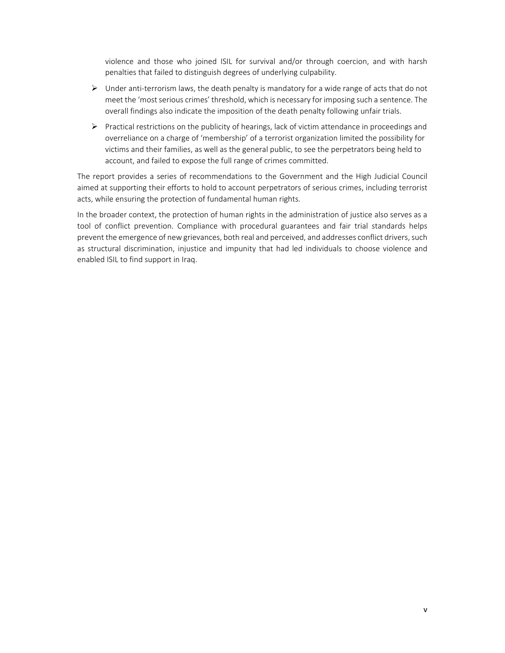violence and those who joined ISIL for survival and/or through coercion, and with harsh penalties that failed to distinguish degrees of underlying culpability.

- Under anti‐terrorism laws, the death penalty is mandatory for a wide range of acts that do not meet the 'most serious crimes' threshold, which is necessary for imposing such a sentence. The overall findings also indicate the imposition of the death penalty following unfair trials.
- $\triangleright$  Practical restrictions on the publicity of hearings, lack of victim attendance in proceedings and overreliance on a charge of 'membership' of a terrorist organization limited the possibility for victims and their families, as well as the general public, to see the perpetrators being held to account, and failed to expose the full range of crimes committed.

The report provides a series of recommendations to the Government and the High Judicial Council aimed at supporting their efforts to hold to account perpetrators of serious crimes, including terrorist acts, while ensuring the protection of fundamental human rights.

In the broader context, the protection of human rights in the administration of justice also serves as a tool of conflict prevention. Compliance with procedural guarantees and fair trial standards helps prevent the emergence of new grievances, both real and perceived, and addresses conflict drivers, such as structural discrimination, injustice and impunity that had led individuals to choose violence and enabled ISIL to find support in Iraq.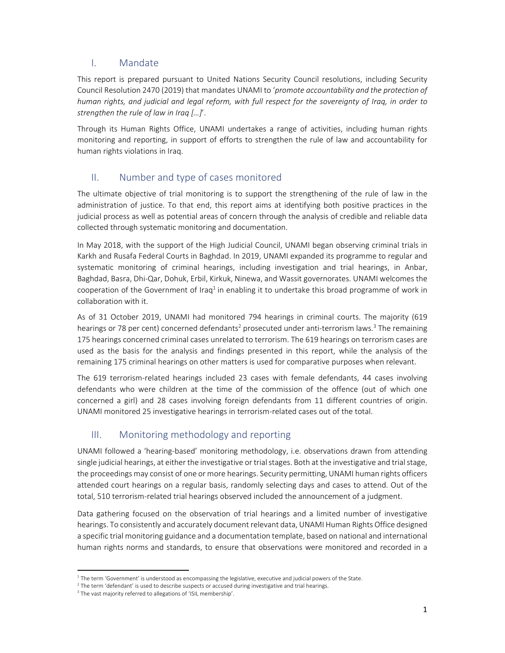## I. Mandate

This report is prepared pursuant to United Nations Security Council resolutions, including Security Council Resolution 2470 (2019) that mandates UNAMI to '*promote accountability and the protection of human rights, and judicial and legal reform, with full respect for the sovereignty of Iraq, in order to strengthen the rule of law in Iraq […]*'.

Through its Human Rights Office, UNAMI undertakes a range of activities, including human rights monitoring and reporting, in support of efforts to strengthen the rule of law and accountability for human rights violations in Iraq.

# II. Number and type of cases monitored

The ultimate objective of trial monitoring is to support the strengthening of the rule of law in the administration of justice. To that end, this report aims at identifying both positive practices in the judicial process as well as potential areas of concern through the analysis of credible and reliable data collected through systematic monitoring and documentation.

In May 2018, with the support of the High Judicial Council, UNAMI began observing criminal trials in Karkh and Rusafa Federal Courts in Baghdad. In 2019, UNAMI expanded its programme to regular and systematic monitoring of criminal hearings, including investigation and trial hearings, in Anbar, Baghdad, Basra, Dhi‐Qar, Dohuk, Erbil, Kirkuk, Ninewa, and Wassit governorates. UNAMI welcomes the cooperation of the Government of Iraq<sup>1</sup> in enabling it to undertake this broad programme of work in collaboration with it.

As of 31 October 2019, UNAMI had monitored 794 hearings in criminal courts. The majority (619 hearings or 78 per cent) concerned defendants<sup>2</sup> prosecuted under anti-terrorism laws.<sup>3</sup> The remaining 175 hearings concerned criminal cases unrelated to terrorism. The 619 hearings on terrorism cases are used as the basis for the analysis and findings presented in this report, while the analysis of the remaining 175 criminal hearings on other matters is used for comparative purposes when relevant.

The 619 terrorism-related hearings included 23 cases with female defendants, 44 cases involving defendants who were children at the time of the commission of the offence (out of which one concerned a girl) and 28 cases involving foreign defendants from 11 different countries of origin. UNAMI monitored 25 investigative hearings in terrorism-related cases out of the total.

# III. Monitoring methodology and reporting

UNAMI followed a 'hearing‐based' monitoring methodology, i.e. observations drawn from attending single judicial hearings, at either the investigative or trial stages. Both at the investigative and trial stage, the proceedings may consist of one or more hearings. Security permitting, UNAMI human rights officers attended court hearings on a regular basis, randomly selecting days and cases to attend. Out of the total, 510 terrorism‐related trial hearings observed included the announcement of a judgment.

Data gathering focused on the observation of trial hearings and a limited number of investigative hearings. To consistently and accurately document relevant data, UNAMI Human Rights Office designed a specific trial monitoring guidance and a documentation template, based on national and international human rights norms and standards, to ensure that observations were monitored and recorded in a

<sup>&</sup>lt;sup>1</sup> The term 'Government' is understood as encompassing the legislative, executive and judicial powers of the State.

<sup>&</sup>lt;sup>2</sup> The term 'defendant' is used to describe suspects or accused during investigative and trial hearings.

<sup>&</sup>lt;sup>3</sup> The vast majority referred to allegations of 'ISIL membership'.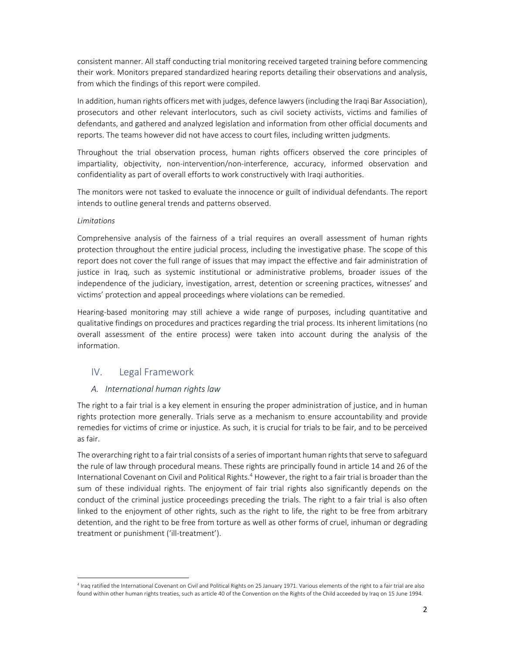consistent manner. All staff conducting trial monitoring received targeted training before commencing their work. Monitors prepared standardized hearing reports detailing their observations and analysis, from which the findings of this report were compiled.

In addition, human rights officers met with judges, defence lawyers (including the Iraqi Bar Association), prosecutors and other relevant interlocutors, such as civil society activists, victims and families of defendants, and gathered and analyzed legislation and information from other official documents and reports. The teams however did not have access to court files, including written judgments.

Throughout the trial observation process, human rights officers observed the core principles of impartiality, objectivity, non-intervention/non-interference, accuracy, informed observation and confidentiality as part of overall efforts to work constructively with Iraqi authorities.

The monitors were not tasked to evaluate the innocence or guilt of individual defendants. The report intends to outline general trends and patterns observed.

#### *Limitations*

Comprehensive analysis of the fairness of a trial requires an overall assessment of human rights protection throughout the entire judicial process, including the investigative phase. The scope of this report does not cover the full range of issues that may impact the effective and fair administration of justice in Iraq, such as systemic institutional or administrative problems, broader issues of the independence of the judiciary, investigation, arrest, detention or screening practices, witnesses' and victims' protection and appeal proceedings where violations can be remedied.

Hearing-based monitoring may still achieve a wide range of purposes, including quantitative and qualitative findings on procedures and practices regarding the trial process. Its inherent limitations (no overall assessment of the entire process) were taken into account during the analysis of the information.

### IV. Legal Framework

#### *A. International human rights law*

The right to a fair trial is a key element in ensuring the proper administration of justice, and in human rights protection more generally. Trials serve as a mechanism to ensure accountability and provide remedies for victims of crime or injustice. As such, it is crucial for trials to be fair, and to be perceived as fair.

The overarching right to a fair trial consists of a series of important human rights that serve to safeguard the rule of law through procedural means. These rights are principally found in article 14 and 26 of the International Covenant on Civil and Political Rights.<sup>4</sup> However, the right to a fair trial is broader than the sum of these individual rights. The enjoyment of fair trial rights also significantly depends on the conduct of the criminal justice proceedings preceding the trials. The right to a fair trial is also often linked to the enjoyment of other rights, such as the right to life, the right to be free from arbitrary detention, and the right to be free from torture as well as other forms of cruel, inhuman or degrading treatment or punishment ('ill‐treatment').

<sup>4</sup> Iraq ratified the International Covenant on Civil and Political Rights on 25 January 1971. Various elements of the right to a fair trial are also found within other human rights treaties, such as article 40 of the Convention on the Rights of the Child acceeded by Iraq on 15 June 1994.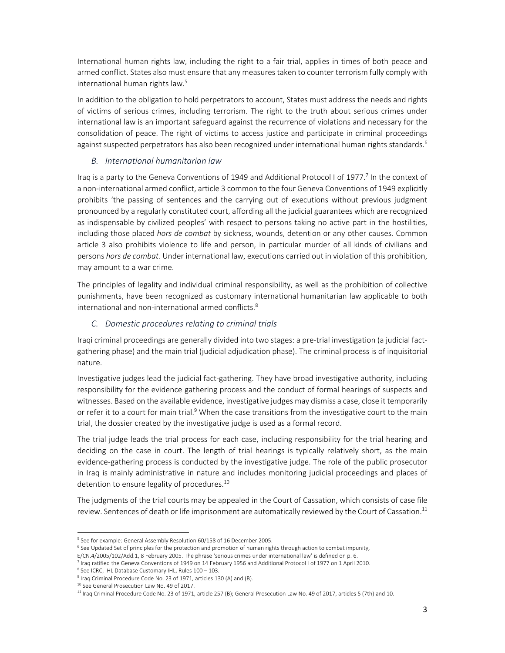International human rights law, including the right to a fair trial, applies in times of both peace and armed conflict. States also must ensure that any measures taken to counter terrorism fully comply with international human rights law.<sup>5</sup>

In addition to the obligation to hold perpetrators to account, States must address the needs and rights of victims of serious crimes, including terrorism. The right to the truth about serious crimes under international law is an important safeguard against the recurrence of violations and necessary for the consolidation of peace. The right of victims to access justice and participate in criminal proceedings against suspected perpetrators has also been recognized under international human rights standards.<sup>6</sup>

#### *B. International humanitarian law*

Iraq is a party to the Geneva Conventions of 1949 and Additional Protocol I of 1977.<sup>7</sup> In the context of a non‐international armed conflict, article 3 common to the four Geneva Conventions of 1949 explicitly prohibits 'the passing of sentences and the carrying out of executions without previous judgment pronounced by a regularly constituted court, affording all the judicial guarantees which are recognized as indispensable by civilized peoples' with respect to persons taking no active part in the hostilities, including those placed *hors de combat* by sickness, wounds, detention or any other causes. Common article 3 also prohibits violence to life and person, in particular murder of all kinds of civilians and persons *hors de combat.* Under international law, executions carried out in violation of this prohibition, may amount to a war crime.

The principles of legality and individual criminal responsibility, as well as the prohibition of collective punishments, have been recognized as customary international humanitarian law applicable to both international and non-international armed conflicts.<sup>8</sup>

### *C. Domestic procedures relating to criminal trials*

Iraqi criminal proceedings are generally divided into two stages: a pre‐trial investigation (a judicial fact‐ gathering phase) and the main trial (judicial adjudication phase). The criminal process is of inquisitorial nature.

Investigative judges lead the judicial fact‐gathering. They have broad investigative authority, including responsibility for the evidence gathering process and the conduct of formal hearings of suspects and witnesses. Based on the available evidence, investigative judges may dismiss a case, close it temporarily or refer it to a court for main trial.<sup>9</sup> When the case transitions from the investigative court to the main trial, the dossier created by the investigative judge is used as a formal record.

The trial judge leads the trial process for each case, including responsibility for the trial hearing and deciding on the case in court. The length of trial hearings is typically relatively short, as the main evidence‐gathering process is conducted by the investigative judge. The role of the public prosecutor in Iraq is mainly administrative in nature and includes monitoring judicial proceedings and places of detention to ensure legality of procedures.<sup>10</sup>

The judgments of the trial courts may be appealed in the Court of Cassation, which consists of case file review. Sentences of death or life imprisonment are automatically reviewed by the Court of Cassation.<sup>11</sup>

<sup>&</sup>lt;sup>5</sup> See for example: General Assembly Resolution 60/158 of 16 December 2005.

<sup>&</sup>lt;sup>6</sup> See Updated Set of principles for the protection and promotion of human rights through action to combat impunity,

E/CN.4/2005/102/Add.1, 8 February 2005. The phrase 'serious crimes under international law' is defined on p. 6.

<sup>7</sup> Iraq ratified the Geneva Conventions of 1949 on 14 February 1956 and Additional Protocol I of 1977 on 1 April 2010. <sup>8</sup> See ICRC, IHL Database Customary IHL, Rules 100 - 103.

<sup>&</sup>lt;sup>9</sup> Iraq Criminal Procedure Code No. 23 of 1971, articles 130 (A) and (B).

<sup>&</sup>lt;sup>10</sup> See General Prosecution Law No. 49 of 2017.

<sup>11</sup> Iraq Criminal Procedure Code No. 23 of 1971, article 257 (B); General Prosecution Law No. 49 of 2017, articles 5 (7th) and 10.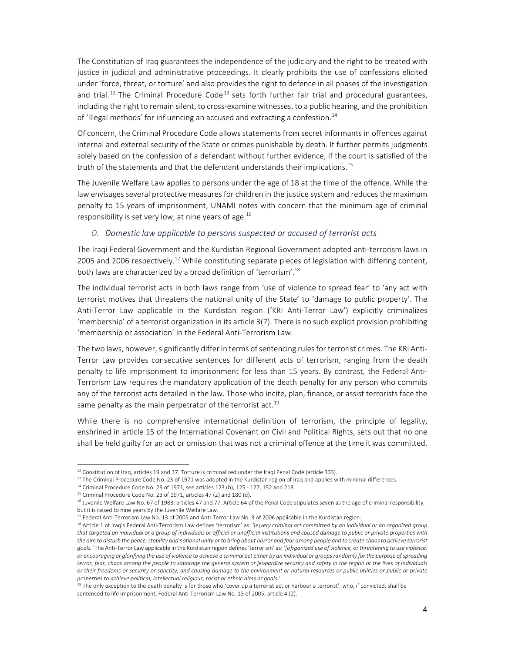The Constitution of Iraq guarantees the independence of the judiciary and the right to be treated with justice in judicial and administrative proceedings. It clearly prohibits the use of confessions elicited under 'force, threat, or torture' and also provides the right to defence in all phases of the investigation and trial.<sup>12</sup> The Criminal Procedure Code<sup>13</sup> sets forth further fair trial and procedural guarantees, including the right to remain silent, to cross-examine witnesses, to a public hearing, and the prohibition of 'illegal methods' for influencing an accused and extracting a confession.<sup>14</sup>

Of concern, the Criminal Procedure Code allows statements from secret informants in offences against internal and external security of the State or crimes punishable by death. It further permits judgments solely based on the confession of a defendant without further evidence, if the court is satisfied of the truth of the statements and that the defendant understands their implications.<sup>15</sup>

The Juvenile Welfare Law applies to persons under the age of 18 at the time of the offence. While the law envisages several protective measures for children in the justice system and reduces the maximum penalty to 15 years of imprisonment, UNAMI notes with concern that the minimum age of criminal responsibility is set very low, at nine years of age.<sup>16</sup>

#### *D. Domestic law applicable to persons suspected or accused of terrorist acts*

The Iraqi Federal Government and the Kurdistan Regional Government adopted anti‐terrorism laws in 2005 and 2006 respectively.<sup>17</sup> While constituting separate pieces of legislation with differing content, both laws are characterized by a broad definition of 'terrorism'.<sup>18</sup>

The individual terrorist acts in both laws range from 'use of violence to spread fear' to 'any act with terrorist motives that threatens the national unity of the State' to 'damage to public property'. The Anti-Terror Law applicable in the Kurdistan region ('KRI Anti-Terror Law') explicitly criminalizes 'membership' of a terrorist organization in its article 3(7). There is no such explicit provision prohibiting 'membership or association' in the Federal Anti‐Terrorism Law.

The two laws, however, significantly differ in terms of sentencing rules for terrorist crimes. The KRI Anti‐ Terror Law provides consecutive sentences for different acts of terrorism, ranging from the death penalty to life imprisonment to imprisonment for less than 15 years. By contrast, the Federal Anti-Terrorism Law requires the mandatory application of the death penalty for any person who commits any of the terrorist acts detailed in the law. Those who incite, plan, finance, or assist terrorists face the same penalty as the main perpetrator of the terrorist act.<sup>19</sup>

While there is no comprehensive international definition of terrorism, the principle of legality, enshrined in article 15 of the International Covenant on Civil and Political Rights, sets out that no one shall be held guilty for an act or omission that was not a criminal offence at the time it was committed.

<sup>&</sup>lt;sup>12</sup> Constitution of Iraq, articles 19 and 37. Torture is criminalized under the Iraqi Penal Code (article 333).

<sup>&</sup>lt;sup>13</sup> The Criminal Procedure Code No. 23 of 1971 was adopted in the Kurdistan region of Iraq and applies with minimal differences.

<sup>14</sup> Criminal Procedure Code No. 23 of 1971, see articles 123 (b); 125 ‐ 127, 152 and 218.

<sup>&</sup>lt;sup>15</sup> Criminal Procedure Code No. 23 of 1971, articles 47 (2) and 180 (d).

<sup>&</sup>lt;sup>16</sup> Juvenile Welfare Law No. 67 of 1983, articles 47 and 77. Article 64 of the Penal Code stipulates seven as the age of criminal responsibility, but it is raised to nine years by the Juvenile Welfare Law.

<sup>&</sup>lt;sup>17</sup> Federal Anti-Terrorism Law No. 13 of 2005 and Anti-Terror Law No. 3 of 2006 applicable in the Kurdistan region.

<sup>18</sup> Article 1 of Iraq's Federal Anti-Terrorism Law defines 'terrorism' as: '[e]very criminal act committed by an individual or an organized group *that targeted an individual or a group of individuals or official or unofficial institutions and caused damage to public or private properties with the aim to disturb the peace, stability and national unity or to bring about horror and fear among people and to create chaos to achieve terrorist goals.'* The Anti‐Terror Law applicable in the Kurdistan region defines 'terrorism' as: *'[o]rganized use of violence, or threatening to use violence, or encouraging or glorifying the use of violence to achieve a criminal act either by an individual or groups randomly for the purpose of spreading terror, fear, chaos among the people to sabotage the general system or jeopardize security and safety in the region or the lives of individuals or their freedoms or security or sanctity, and causing damage to the environment or natural resources or public utilities or public or private properties to achieve political, intellectual religious, racist or ethnic aims or goals.'*

<sup>&</sup>lt;sup>19</sup> The only exception to the death penalty is for those who 'cover up a terrorist act or harbour a terrorist', who, if convicted, shall be sentenced to life imprisonment, Federal Anti-Terrorism Law No. 13 of 2005, article 4 (2).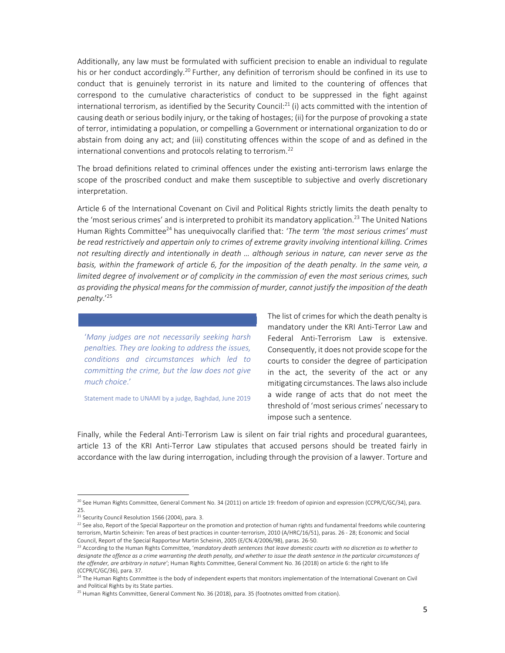Additionally, any law must be formulated with sufficient precision to enable an individual to regulate his or her conduct accordingly.<sup>20</sup> Further, any definition of terrorism should be confined in its use to conduct that is genuinely terrorist in its nature and limited to the countering of offences that correspond to the cumulative characteristics of conduct to be suppressed in the fight against international terrorism, as identified by the Security Council:<sup>21</sup> (i) acts committed with the intention of causing death or serious bodily injury, or the taking of hostages; (ii) for the purpose of provoking a state of terror, intimidating a population, or compelling a Government or international organization to do or abstain from doing any act; and (iii) constituting offences within the scope of and as defined in the international conventions and protocols relating to terrorism.<sup>22</sup>

The broad definitions related to criminal offences under the existing anti-terrorism laws enlarge the scope of the proscribed conduct and make them susceptible to subjective and overly discretionary interpretation.

Article 6 of the International Covenant on Civil and Political Rights strictly limits the death penalty to the 'most serious crimes' and is interpreted to prohibit its mandatory application.<sup>23</sup> The United Nations Human Rights Committee24 has unequivocally clarified that: '*The term 'the most serious crimes' must be read restrictively and appertain only to crimes of extreme gravity involving intentional killing. Crimes not resulting directly and intentionally in death … although serious in nature, can never serve as the basis, within the framework of article 6, for the imposition of the death penalty. In the same vein, a limited degree of involvement or of complicity in the commission of even the most serious crimes, such as providing the physical means for the commission of murder, cannot justify the imposition of the death penalty*.'25

'*Many judges are not necessarily seeking harsh penalties. They are looking to address the issues, conditions and circumstances which led to committing the crime, but the law does not give much choice*.'

Statement made to UNAMI by a judge, Baghdad, June 2019

The list of crimes for which the death penalty is mandatory under the KRI Anti‐Terror Law and Federal Anti-Terrorism Law is extensive. Consequently, it does not provide scope for the courts to consider the degree of participation in the act, the severity of the act or any mitigating circumstances. The laws also include a wide range of acts that do not meet the threshold of 'most serious crimes' necessary to impose such a sentence.

Finally, while the Federal Anti-Terrorism Law is silent on fair trial rights and procedural guarantees, article 13 of the KRI Anti‐Terror Law stipulates that accused persons should be treated fairly in accordance with the law during interrogation, including through the provision of a lawyer. Torture and

<sup>&</sup>lt;sup>20</sup> See Human Rights Committee, General Comment No. 34 (2011) on article 19: freedom of opinion and expression (CCPR/C/GC/34), para. 25.

<sup>&</sup>lt;sup>21</sup> Security Council Resolution 1566 (2004), para. 3.

 $22$  See also, Report of the Special Rapporteur on the promotion and protection of human rights and fundamental freedoms while countering terrorism, Martin Scheinin: Ten areas of best practices in counter‐terrorism, 2010 (A/HRC/16/51), paras. 26 ‐ 28; Economic and Social Council, Report of the Special Rapporteur Martin Scheinin, 2005 (E/CN.4/2006/98), paras. 26‐50.

<sup>23</sup> According to the Human Rights Committee, '*mandatory death sentences that leave domestic courts with no discretion as to whether to designate the offence as a crime warranting the death penalty, and whether to issue the death sentence in the particular circumstances of the offender, are arbitrary in nature'*; Human Rights Committee, General Comment No. 36 (2018) on article 6: the right to life (CCPR/C/GC/36), para. 37.

<sup>&</sup>lt;sup>24</sup> The Human Rights Committee is the body of independent experts that monitors implementation of the International Covenant on Civil and Political Rights by its State parties.

<sup>&</sup>lt;sup>25</sup> Human Rights Committee, General Comment No. 36 (2018), para. 35 (footnotes omitted from citation).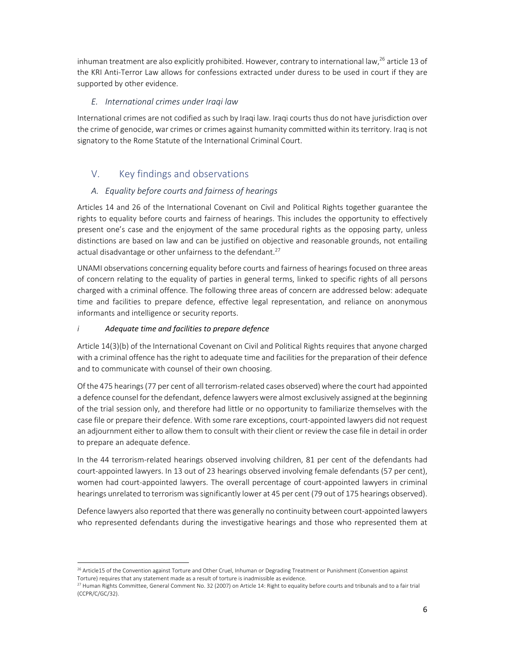inhuman treatment are also explicitly prohibited. However, contrary to international law,<sup>26</sup> article 13 of the KRI Anti‐Terror Law allows for confessions extracted under duress to be used in court if they are supported by other evidence.

## *E. International crimes under Iraqi law*

International crimes are not codified as such by Iraqi law. Iraqi courts thus do not have jurisdiction over the crime of genocide, war crimes or crimes against humanity committed within its territory. Iraq is not signatory to the Rome Statute of the International Criminal Court.

# V. Key findings and observations

## *A. Equality before courts and fairness of hearings*

Articles 14 and 26 of the International Covenant on Civil and Political Rights together guarantee the rights to equality before courts and fairness of hearings. This includes the opportunity to effectively present one's case and the enjoyment of the same procedural rights as the opposing party, unless distinctions are based on law and can be justified on objective and reasonable grounds, not entailing actual disadvantage or other unfairness to the defendant. $27$ 

UNAMI observations concerning equality before courts and fairness of hearings focused on three areas of concern relating to the equality of parties in general terms, linked to specific rights of all persons charged with a criminal offence. The following three areas of concern are addressed below: adequate time and facilities to prepare defence, effective legal representation, and reliance on anonymous informants and intelligence or security reports.

## *i Adequate time and facilities to prepare defence*

Article 14(3)(b) of the International Covenant on Civil and Political Rights requires that anyone charged with a criminal offence has the right to adequate time and facilities for the preparation of their defence and to communicate with counsel of their own choosing.

Of the 475 hearings (77 per cent of all terrorism-related cases observed) where the court had appointed a defence counsel for the defendant, defence lawyers were almost exclusively assigned at the beginning of the trial session only, and therefore had little or no opportunity to familiarize themselves with the case file or prepare their defence. With some rare exceptions, court‐appointed lawyers did not request an adjournment either to allow them to consult with their client or review the case file in detail in order to prepare an adequate defence.

In the 44 terrorism-related hearings observed involving children, 81 per cent of the defendants had court-appointed lawyers. In 13 out of 23 hearings observed involving female defendants (57 per cent), women had court-appointed lawyers. The overall percentage of court-appointed lawyers in criminal hearings unrelated to terrorism was significantly lower at 45 per cent (79 out of 175 hearings observed).

Defence lawyers also reported that there was generally no continuity between court-appointed lawyers who represented defendants during the investigative hearings and those who represented them at

<sup>&</sup>lt;sup>26</sup> Article15 of the Convention against Torture and Other Cruel, Inhuman or Degrading Treatment or Punishment (Convention against Torture) requires that any statement made as a result of torture is inadmissible as evidence.

 $^{27}$  Human Rights Committee, General Comment No. 32 (2007) on Article 14: Right to equality before courts and tribunals and to a fair trial (CCPR/C/GC/32).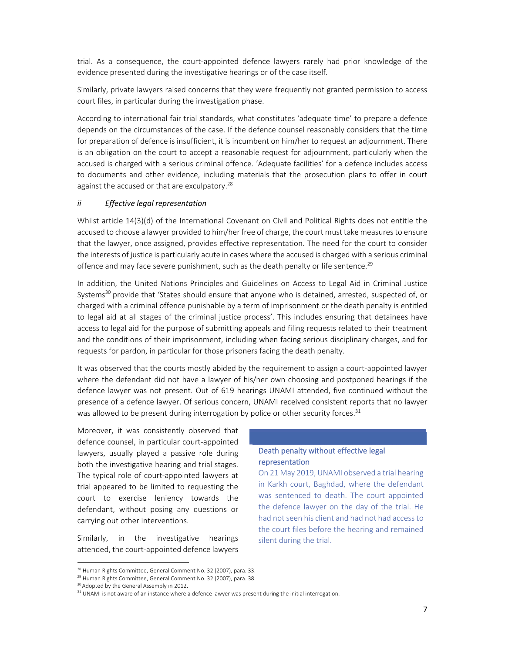trial. As a consequence, the court‐appointed defence lawyers rarely had prior knowledge of the evidence presented during the investigative hearings or of the case itself.

Similarly, private lawyers raised concerns that they were frequently not granted permission to access court files, in particular during the investigation phase.

According to international fair trial standards, what constitutes 'adequate time' to prepare a defence depends on the circumstances of the case. If the defence counsel reasonably considers that the time for preparation of defence is insufficient, it is incumbent on him/her to request an adjournment. There is an obligation on the court to accept a reasonable request for adjournment, particularly when the accused is charged with a serious criminal offence. 'Adequate facilities' for a defence includes access to documents and other evidence, including materials that the prosecution plans to offer in court against the accused or that are exculpatory.<sup>28</sup>

#### *ii Effective legal representation*

Whilst article 14(3)(d) of the International Covenant on Civil and Political Rights does not entitle the accused to choose a lawyer provided to him/her free of charge, the court must take measures to ensure that the lawyer, once assigned, provides effective representation. The need for the court to consider the interests of justice is particularly acute in cases where the accused is charged with a serious criminal offence and may face severe punishment, such as the death penalty or life sentence.<sup>29</sup>

In addition, the United Nations Principles and Guidelines on Access to Legal Aid in Criminal Justice Systems<sup>30</sup> provide that 'States should ensure that anyone who is detained, arrested, suspected of, or charged with a criminal offence punishable by a term of imprisonment or the death penalty is entitled to legal aid at all stages of the criminal justice process'. This includes ensuring that detainees have access to legal aid for the purpose of submitting appeals and filing requests related to their treatment and the conditions of their imprisonment, including when facing serious disciplinary charges, and for requests for pardon, in particular for those prisoners facing the death penalty.

It was observed that the courts mostly abided by the requirement to assign a court‐appointed lawyer where the defendant did not have a lawyer of his/her own choosing and postponed hearings if the defence lawyer was not present. Out of 619 hearings UNAMI attended, five continued without the presence of a defence lawyer. Of serious concern, UNAMI received consistent reports that no lawyer was allowed to be present during interrogation by police or other security forces. $31$ 

Moreover, it was consistently observed that defence counsel, in particular court‐appointed lawyers, usually played a passive role during both the investigative hearing and trial stages. The typical role of court-appointed lawyers at trial appeared to be limited to requesting the court to exercise leniency towards the defendant, without posing any questions or carrying out other interventions.

Similarly, in the investigative hearings attended, the court‐appointed defence lawyers

#### Death penalty without effective legal representation

On 21 May 2019, UNAMI observed a trial hearing in Karkh court, Baghdad, where the defendant was sentenced to death. The court appointed the defence lawyer on the day of the trial. He had not seen his client and had not had access to the court files before the hearing and remained silent during the trial.

<sup>&</sup>lt;sup>28</sup> Human Rights Committee, General Comment No. 32 (2007), para. 33.

<sup>&</sup>lt;sup>29</sup> Human Rights Committee, General Comment No. 32 (2007), para. 38.

<sup>&</sup>lt;sup>30</sup> Adopted by the General Assembly in 2012.

<sup>&</sup>lt;sup>31</sup> UNAMI is not aware of an instance where a defence lawyer was present during the initial interrogation.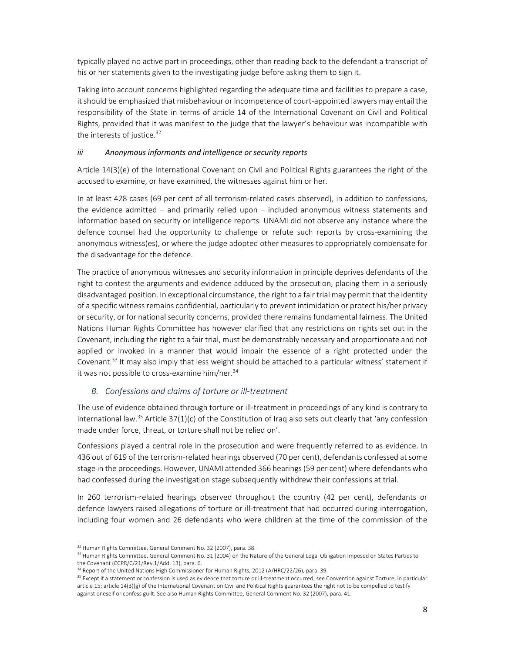typically played no active part in proceedings, other than reading back to the defendant a transcript of his or her statements given to the investigating judge before asking them to sign it.

Taking into account concerns highlighted regarding the adequate time and facilities to prepare a case, it should be emphasized that misbehaviour or incompetence of court-appointed lawyers may entail the responsibility of the State in terms of article 14 of the International Covenant on Civil and Political Rights, provided that it was manifest to the judge that the lawyer's behaviour was incompatible with the interests of justice.<sup>32</sup>

## *iii Anonymous informants and intelligence or security reports*

Article 14(3)(e) of the International Covenant on Civil and Political Rights guarantees the right of the accused to examine, or have examined, the witnesses against him or her.

In at least 428 cases (69 per cent of all terrorism-related cases observed), in addition to confessions, the evidence admitted – and primarily relied upon – included anonymous witness statements and information based on security or intelligence reports. UNAMI did not observe any instance where the defence counsel had the opportunity to challenge or refute such reports by cross-examining the anonymous witness(es), or where the judge adopted other measures to appropriately compensate for the disadvantage for the defence.

The practice of anonymous witnesses and security information in principle deprives defendants of the right to contest the arguments and evidence adduced by the prosecution, placing them in a seriously disadvantaged position. In exceptional circumstance, the right to a fair trial may permit that the identity of a specific witness remains confidential, particularly to prevent intimidation or protect his/her privacy or security, or for national security concerns, provided there remains fundamental fairness. The United Nations Human Rights Committee has however clarified that any restrictions on rights set out in the Covenant, including the right to a fair trial, must be demonstrably necessary and proportionate and not applied or invoked in a manner that would impair the essence of a right protected under the Covenant.<sup>33</sup> It may also imply that less weight should be attached to a particular witness' statement if it was not possible to cross-examine him/her.<sup>34</sup>

## *B. Confessions and claims of torture or ill‐treatment*

The use of evidence obtained through torture or ill‐treatment in proceedings of any kind is contrary to international law.<sup>35</sup> Article 37(1)(c) of the Constitution of Iraq also sets out clearly that 'any confession made under force, threat, or torture shall not be relied on'.

Confessions played a central role in the prosecution and were frequently referred to as evidence. In 436 out of 619 of the terrorism-related hearings observed (70 per cent), defendants confessed at some stage in the proceedings. However, UNAMI attended 366 hearings (59 per cent) where defendants who had confessed during the investigation stage subsequently withdrew their confessions at trial.

In 260 terrorism-related hearings observed throughout the country (42 per cent), defendants or defence lawyers raised allegations of torture or ill‐treatment that had occurred during interrogation, including four women and 26 defendants who were children at the time of the commission of the

<sup>&</sup>lt;sup>32</sup> Human Rights Committee, General Comment No. 32 (2007), para. 38.

<sup>&</sup>lt;sup>33</sup> Human Rights Committee, General Comment No. 31 (2004) on the Nature of the General Legal Obligation Imposed on States Parties to the Covenant (CCPR/C/21/Rev.1/Add. 13), para. 6.

<sup>&</sup>lt;sup>34</sup> Report of the United Nations High Commissioner for Human Rights, 2012 (A/HRC/22/26), para. 39.

<sup>&</sup>lt;sup>35</sup> Except if a statement or confession is used as evidence that torture or ill-treatment occurred; see Convention against Torture, in particular article 15; article 14(3)(g) of the International Covenant on Civil and Political Rights guarantees the right not to be compelled to testify against oneself or confess guilt. See also Human Rights Committee, General Comment No. 32 (2007), para. 41.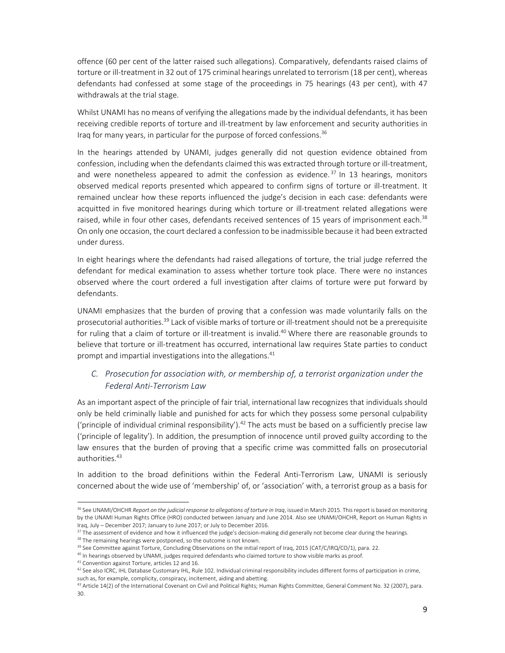offence (60 per cent of the latter raised such allegations). Comparatively, defendants raised claims of torture or ill-treatment in 32 out of 175 criminal hearings unrelated to terrorism (18 per cent), whereas defendants had confessed at some stage of the proceedings in 75 hearings (43 per cent), with 47 withdrawals at the trial stage.

Whilst UNAMI has no means of verifying the allegations made by the individual defendants, it has been receiving credible reports of torture and ill‐treatment by law enforcement and security authorities in Iraq for many years, in particular for the purpose of forced confessions.<sup>36</sup>

In the hearings attended by UNAMI, judges generally did not question evidence obtained from confession, including when the defendants claimed this was extracted through torture or ill-treatment, and were nonetheless appeared to admit the confession as evidence.<sup>37</sup> In 13 hearings, monitors observed medical reports presented which appeared to confirm signs of torture or ill-treatment. It remained unclear how these reports influenced the judge's decision in each case: defendants were acquitted in five monitored hearings during which torture or ill-treatment related allegations were raised, while in four other cases, defendants received sentences of 15 years of imprisonment each.<sup>38</sup> On only one occasion, the court declared a confession to be inadmissible because it had been extracted under duress.

In eight hearings where the defendants had raised allegations of torture, the trial judge referred the defendant for medical examination to assess whether torture took place. There were no instances observed where the court ordered a full investigation after claims of torture were put forward by defendants.

UNAMI emphasizes that the burden of proving that a confession was made voluntarily falls on the prosecutorial authorities.<sup>39</sup> Lack of visible marks of torture or ill-treatment should not be a prerequisite for ruling that a claim of torture or ill-treatment is invalid.<sup>40</sup> Where there are reasonable grounds to believe that torture or ill-treatment has occurred, international law requires State parties to conduct prompt and impartial investigations into the allegations.<sup>41</sup>

## *C. Prosecution for association with, or membership of, a terrorist organization under the Federal Anti‐Terrorism Law*

As an important aspect of the principle of fair trial, international law recognizes that individuals should only be held criminally liable and punished for acts for which they possess some personal culpability ('principle of individual criminal responsibility').<sup>42</sup> The acts must be based on a sufficiently precise law ('principle of legality'). In addition, the presumption of innocence until proved guilty according to the law ensures that the burden of proving that a specific crime was committed falls on prosecutorial authorities.<sup>43</sup>

In addition to the broad definitions within the Federal Anti-Terrorism Law, UNAMI is seriously concerned about the wide use of 'membership' of, or 'association' with, a terrorist group as a basis for

<sup>38</sup> The remaining hearings were postponed, so the outcome is not known.

<sup>36</sup> See UNAMI/OHCHR *Report on the judicial response to allegations of torture in Iraq*, issued in March 2015. This report is based on monitoring by the UNAMI Human Rights Office (HRO) conducted between January and June 2014. Also see UNAMI/OHCHR, Report on Human Rights in Iraq, July – December 2017; January to June 2017; or July to December 2016.

<sup>&</sup>lt;sup>37</sup> The assessment of evidence and how it influenced the judge's decision-making did generally not become clear during the hearings.

<sup>&</sup>lt;sup>39</sup> See Committee against Torture, Concluding Observations on the initial report of Iraq, 2015 (CAT/C/IRQ/CO/1), para. 22.

<sup>&</sup>lt;sup>40</sup> In hearings observed by UNAMI, judges required defendants who claimed torture to show visible marks as proof.

<sup>41</sup> Convention against Torture, articles 12 and 16.

 $42$  See also ICRC, IHL Database Customary IHL, Rule 102. Individual criminal responsibility includes different forms of participation in crime, such as, for example, complicity, conspiracy, incitement, aiding and abetting.

<sup>&</sup>lt;sup>43</sup> Article 14(2) of the International Covenant on Civil and Political Rights; Human Rights Committee, General Comment No. 32 (2007), para. 30.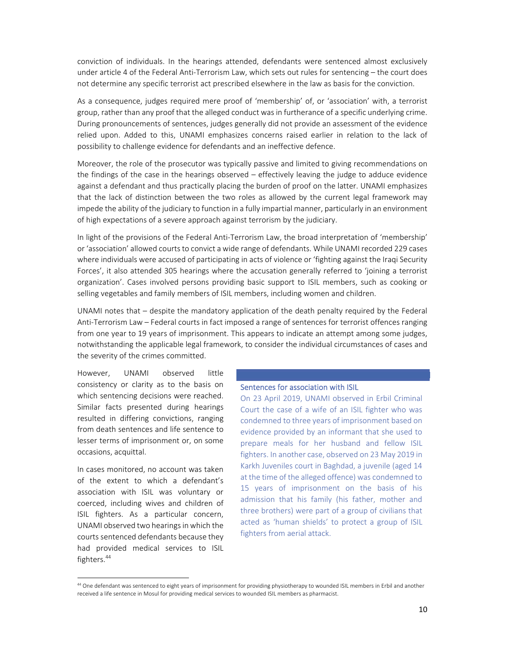conviction of individuals. In the hearings attended, defendants were sentenced almost exclusively under article 4 of the Federal Anti-Terrorism Law, which sets out rules for sentencing – the court does not determine any specific terrorist act prescribed elsewhere in the law as basis for the conviction.

As a consequence, judges required mere proof of 'membership' of, or 'association' with, a terrorist group, rather than any proof that the alleged conduct was in furtherance of a specific underlying crime. During pronouncements of sentences, judges generally did not provide an assessment of the evidence relied upon. Added to this, UNAMI emphasizes concerns raised earlier in relation to the lack of possibility to challenge evidence for defendants and an ineffective defence.

Moreover, the role of the prosecutor was typically passive and limited to giving recommendations on the findings of the case in the hearings observed – effectively leaving the judge to adduce evidence against a defendant and thus practically placing the burden of proof on the latter. UNAMI emphasizes that the lack of distinction between the two roles as allowed by the current legal framework may impede the ability of the judiciary to function in a fully impartial manner, particularly in an environment of high expectations of a severe approach against terrorism by the judiciary.

In light of the provisions of the Federal Anti‐Terrorism Law, the broad interpretation of 'membership' or 'association' allowed courts to convict a wide range of defendants. While UNAMI recorded 229 cases where individuals were accused of participating in acts of violence or 'fighting against the Iraqi Security Forces', it also attended 305 hearings where the accusation generally referred to 'joining a terrorist organization'. Cases involved persons providing basic support to ISIL members, such as cooking or selling vegetables and family members of ISIL members, including women and children.

UNAMI notes that – despite the mandatory application of the death penalty required by the Federal Anti-Terrorism Law – Federal courts in fact imposed a range of sentences for terrorist offences ranging from one year to 19 years of imprisonment. This appears to indicate an attempt among some judges, notwithstanding the applicable legal framework, to consider the individual circumstances of cases and the severity of the crimes committed.

However, UNAMI observed little consistency or clarity as to the basis on which sentencing decisions were reached. Similar facts presented during hearings resulted in differing convictions, ranging from death sentences and life sentence to lesser terms of imprisonment or, on some occasions, acquittal.

In cases monitored, no account was taken of the extent to which a defendant's association with ISIL was voluntary or coerced, including wives and children of ISIL fighters. As a particular concern, UNAMI observed two hearings in which the courts sentenced defendants because they had provided medical services to ISIL fighters.44

#### Sentences for association with ISIL

On 23 April 2019, UNAMI observed in Erbil Criminal Court the case of a wife of an ISIL fighter who was condemned to three years of imprisonment based on evidence provided by an informant that she used to prepare meals for her husband and fellow ISIL fighters. In another case, observed on 23 May 2019 in Karkh Juveniles court in Baghdad, a juvenile (aged 14 at the time of the alleged offence) was condemned to 15 years of imprisonment on the basis of his admission that his family (his father, mother and three brothers) were part of a group of civilians that acted as 'human shields' to protect a group of ISIL fighters from aerial attack.

<sup>&</sup>lt;sup>44</sup> One defendant was sentenced to eight years of imprisonment for providing physiotherapy to wounded ISIL members in Erbil and another received a life sentence in Mosul for providing medical services to wounded ISIL members as pharmacist.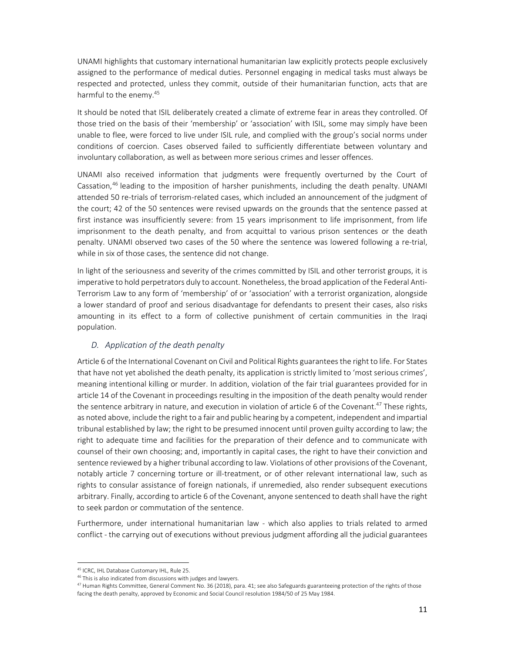UNAMI highlights that customary international humanitarian law explicitly protects people exclusively assigned to the performance of medical duties. Personnel engaging in medical tasks must always be respected and protected, unless they commit, outside of their humanitarian function, acts that are harmful to the enemy.<sup>45</sup>

It should be noted that ISIL deliberately created a climate of extreme fear in areas they controlled. Of those tried on the basis of their 'membership' or 'association' with ISIL, some may simply have been unable to flee, were forced to live under ISIL rule, and complied with the group's social norms under conditions of coercion. Cases observed failed to sufficiently differentiate between voluntary and involuntary collaboration, as well as between more serious crimes and lesser offences.

UNAMI also received information that judgments were frequently overturned by the Court of Cassation,<sup>46</sup> leading to the imposition of harsher punishments, including the death penalty. UNAMI attended 50 re‐trials of terrorism‐related cases, which included an announcement of the judgment of the court; 42 of the 50 sentences were revised upwards on the grounds that the sentence passed at first instance was insufficiently severe: from 15 years imprisonment to life imprisonment, from life imprisonment to the death penalty, and from acquittal to various prison sentences or the death penalty. UNAMI observed two cases of the 50 where the sentence was lowered following a re-trial, while in six of those cases, the sentence did not change.

In light of the seriousness and severity of the crimes committed by ISIL and other terrorist groups, it is imperative to hold perpetrators duly to account. Nonetheless, the broad application of the Federal Anti-Terrorism Law to any form of 'membership' of or 'association' with a terrorist organization, alongside a lower standard of proof and serious disadvantage for defendants to present their cases, also risks amounting in its effect to a form of collective punishment of certain communities in the Iraqi population.

### *D. Application of the death penalty*

Article 6 of the International Covenant on Civil and Political Rights guarantees the right to life. For States that have not yet abolished the death penalty, its application is strictly limited to 'most serious crimes', meaning intentional killing or murder. In addition, violation of the fair trial guarantees provided for in article 14 of the Covenant in proceedings resulting in the imposition of the death penalty would render the sentence arbitrary in nature, and execution in violation of article 6 of the Covenant.<sup>47</sup> These rights, as noted above, include the right to a fair and public hearing by a competent, independent and impartial tribunal established by law; the right to be presumed innocent until proven guilty according to law; the right to adequate time and facilities for the preparation of their defence and to communicate with counsel of their own choosing; and, importantly in capital cases, the right to have their conviction and sentence reviewed by a higher tribunal according to law. Violations of other provisions of the Covenant, notably article 7 concerning torture or ill-treatment, or of other relevant international law, such as rights to consular assistance of foreign nationals, if unremedied, also render subsequent executions arbitrary. Finally, according to article 6 of the Covenant, anyone sentenced to death shall have the right to seek pardon or commutation of the sentence.

Furthermore, under international humanitarian law - which also applies to trials related to armed conflict - the carrying out of executions without previous judgment affording all the judicial guarantees

<sup>45</sup> ICRC, IHL Database Customary IHL, Rule 25.

<sup>&</sup>lt;sup>46</sup> This is also indicated from discussions with judges and lawyers.

<sup>&</sup>lt;sup>47</sup> Human Rights Committee, General Comment No. 36 (2018), para. 41; see also Safeguards guaranteeing protection of the rights of those facing the death penalty, approved by Economic and Social Council resolution 1984/50 of 25 May 1984.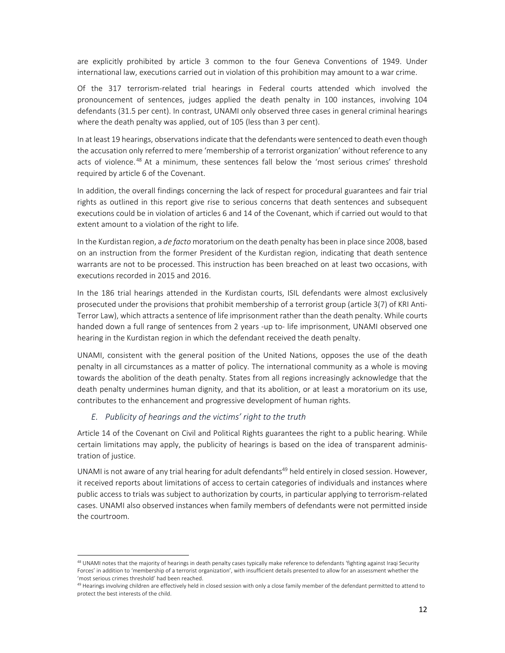are explicitly prohibited by article 3 common to the four Geneva Conventions of 1949. Under international law, executions carried out in violation of this prohibition may amount to a war crime.

Of the 317 terrorism-related trial hearings in Federal courts attended which involved the pronouncement of sentences, judges applied the death penalty in 100 instances, involving 104 defendants (31.5 per cent). In contrast, UNAMI only observed three cases in general criminal hearings where the death penalty was applied, out of 105 (less than 3 per cent).

In at least 19 hearings, observations indicate that the defendants were sentenced to death even though the accusation only referred to mere 'membership of a terrorist organization' without reference to any acts of violence.<sup>48</sup> At a minimum, these sentences fall below the 'most serious crimes' threshold required by article 6 of the Covenant.

In addition, the overall findings concerning the lack of respect for procedural guarantees and fair trial rights as outlined in this report give rise to serious concerns that death sentences and subsequent executions could be in violation of articles 6 and 14 of the Covenant, which if carried out would to that extent amount to a violation of the right to life.

In the Kurdistan region, a *de facto* moratorium on the death penalty has been in place since 2008, based on an instruction from the former President of the Kurdistan region, indicating that death sentence warrants are not to be processed. This instruction has been breached on at least two occasions, with executions recorded in 2015 and 2016.

In the 186 trial hearings attended in the Kurdistan courts, ISIL defendants were almost exclusively prosecuted under the provisions that prohibit membership of a terrorist group (article 3(7) of KRI Anti‐ Terror Law), which attracts a sentence of life imprisonment rather than the death penalty. While courts handed down a full range of sentences from 2 years -up to- life imprisonment, UNAMI observed one hearing in the Kurdistan region in which the defendant received the death penalty.

UNAMI, consistent with the general position of the United Nations, opposes the use of the death penalty in all circumstances as a matter of policy. The international community as a whole is moving towards the abolition of the death penalty. States from all regions increasingly acknowledge that the death penalty undermines human dignity, and that its abolition, or at least a moratorium on its use, contributes to the enhancement and progressive development of human rights.

#### *E. Publicity of hearings and the victims' right to the truth*

Article 14 of the Covenant on Civil and Political Rights guarantees the right to a public hearing. While certain limitations may apply, the publicity of hearings is based on the idea of transparent adminis‐ tration of justice.

UNAMI is not aware of any trial hearing for adult defendants<sup>49</sup> held entirely in closed session. However, it received reports about limitations of access to certain categories of individuals and instances where public access to trials was subject to authorization by courts, in particular applying to terrorism‐related cases. UNAMI also observed instances when family members of defendants were not permitted inside the courtroom.

<sup>48</sup> UNAMI notes that the majority of hearings in death penalty cases typically make reference to defendants 'fighting against Iraqi Security Forces' in addition to 'membership of a terrorist organization', with insufficient details presented to allow for an assessment whether the 'most serious crimes threshold' had been reached.

<sup>&</sup>lt;sup>49</sup> Hearings involving children are effectively held in closed session with only a close family member of the defendant permitted to attend to protect the best interests of the child.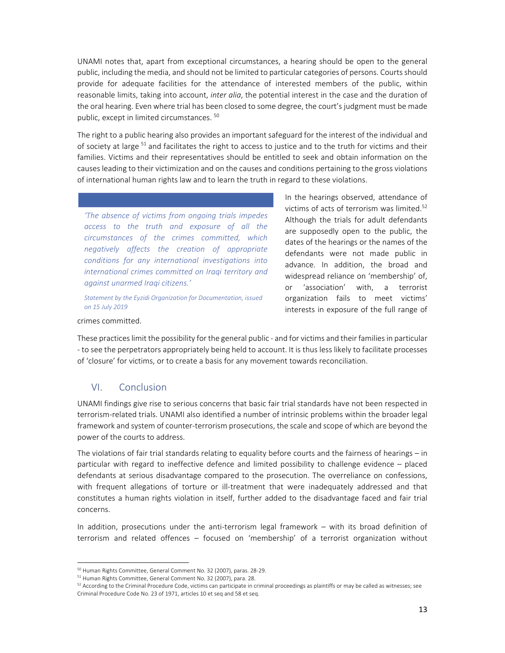UNAMI notes that, apart from exceptional circumstances, a hearing should be open to the general public, including the media, and should not be limited to particular categories of persons. Courts should provide for adequate facilities for the attendance of interested members of the public, within reasonable limits, taking into account, *inter alia*, the potential interest in the case and the duration of the oral hearing. Even where trial has been closed to some degree, the court's judgment must be made public, except in limited circumstances. 50

The right to a public hearing also provides an important safeguard for the interest of the individual and of society at large <sup>51</sup> and facilitates the right to access to justice and to the truth for victims and their families. Victims and their representatives should be entitled to seek and obtain information on the causes leading to their victimization and on the causes and conditions pertaining to the gross violations of international human rights law and to learn the truth in regard to these violations.

*'The absence of victims from ongoing trials impedes access to the truth and exposure of all the circumstances of the crimes committed, which negatively affects the creation of appropriate conditions for any international investigations into international crimes committed on Iraqi territory and against unarmed Iraqi citizens.'* 

*Statement by the Eyzidi Organization for Documentation, issued on 15 July 2019* 

In the hearings observed, attendance of victims of acts of terrorism was limited.<sup>52</sup> Although the trials for adult defendants are supposedly open to the public, the dates of the hearings or the names of the defendants were not made public in advance. In addition, the broad and widespread reliance on 'membership' of, or 'association' with, a terrorist organization fails to meet victims' interests in exposure of the full range of

#### crimes committed.

These practices limit the possibility for the general public ‐ and for victims and their families in particular ‐ to see the perpetrators appropriately being held to account. It is thus less likely to facilitate processes of 'closure' for victims, or to create a basis for any movement towards reconciliation.

### VI. Conclusion

UNAMI findings give rise to serious concerns that basic fair trial standards have not been respected in terrorism‐related trials. UNAMI also identified a number of intrinsic problems within the broader legal framework and system of counter‐terrorism prosecutions, the scale and scope of which are beyond the power of the courts to address.

The violations of fair trial standards relating to equality before courts and the fairness of hearings – in particular with regard to ineffective defence and limited possibility to challenge evidence – placed defendants at serious disadvantage compared to the prosecution. The overreliance on confessions, with frequent allegations of torture or ill-treatment that were inadequately addressed and that constitutes a human rights violation in itself, further added to the disadvantage faced and fair trial concerns.

In addition, prosecutions under the anti-terrorism legal framework – with its broad definition of terrorism and related offences – focused on 'membership' of a terrorist organization without

<sup>50</sup> Human Rights Committee, General Comment No. 32 (2007), paras. 28‐29.

<sup>51</sup> Human Rights Committee, General Comment No. 32 (2007), para. 28.

 $52$  According to the Criminal Procedure Code, victims can participate in criminal proceedings as plaintiffs or may be called as witnesses; see Criminal Procedure Code No. 23 of 1971, articles 10 et seq and 58 et seq.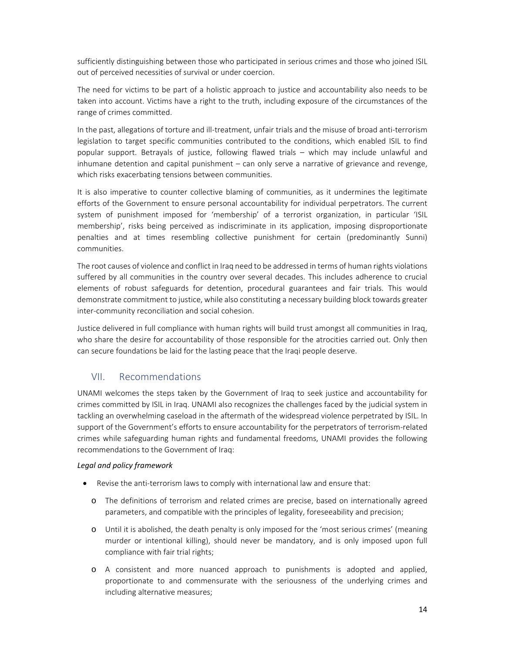sufficiently distinguishing between those who participated in serious crimes and those who joined ISIL out of perceived necessities of survival or under coercion.

The need for victims to be part of a holistic approach to justice and accountability also needs to be taken into account. Victims have a right to the truth, including exposure of the circumstances of the range of crimes committed.

In the past, allegations of torture and ill-treatment, unfair trials and the misuse of broad anti-terrorism legislation to target specific communities contributed to the conditions, which enabled ISIL to find popular support. Betrayals of justice, following flawed trials – which may include unlawful and inhumane detention and capital punishment – can only serve a narrative of grievance and revenge, which risks exacerbating tensions between communities.

It is also imperative to counter collective blaming of communities, as it undermines the legitimate efforts of the Government to ensure personal accountability for individual perpetrators. The current system of punishment imposed for 'membership' of a terrorist organization, in particular 'ISIL membership', risks being perceived as indiscriminate in its application, imposing disproportionate penalties and at times resembling collective punishment for certain (predominantly Sunni) communities.

The root causes of violence and conflict in Iraq need to be addressed in terms of human rights violations suffered by all communities in the country over several decades. This includes adherence to crucial elements of robust safeguards for detention, procedural guarantees and fair trials. This would demonstrate commitment to justice, while also constituting a necessary building block towards greater inter‐community reconciliation and social cohesion.

Justice delivered in full compliance with human rights will build trust amongst all communities in Iraq, who share the desire for accountability of those responsible for the atrocities carried out. Only then can secure foundations be laid for the lasting peace that the Iraqi people deserve.

# VII. Recommendations

UNAMI welcomes the steps taken by the Government of Iraq to seek justice and accountability for crimes committed by ISIL in Iraq. UNAMI also recognizes the challenges faced by the judicial system in tackling an overwhelming caseload in the aftermath of the widespread violence perpetrated by ISIL. In support of the Government's efforts to ensure accountability for the perpetrators of terrorism-related crimes while safeguarding human rights and fundamental freedoms, UNAMI provides the following recommendations to the Government of Iraq:

### *Legal and policy framework*

- Revise the anti-terrorism laws to comply with international law and ensure that:
	- o The definitions of terrorism and related crimes are precise, based on internationally agreed parameters, and compatible with the principles of legality, foreseeability and precision;
	- o Until it is abolished, the death penalty is only imposed for the 'most serious crimes' (meaning murder or intentional killing), should never be mandatory, and is only imposed upon full compliance with fair trial rights;
	- o A consistent and more nuanced approach to punishments is adopted and applied, proportionate to and commensurate with the seriousness of the underlying crimes and including alternative measures;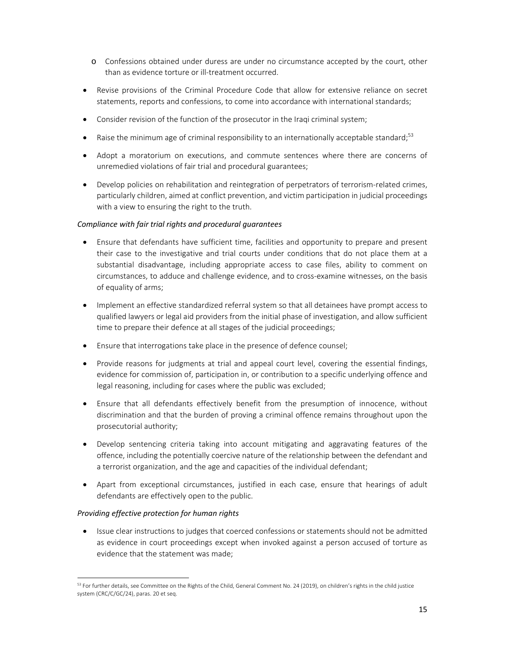- o Confessions obtained under duress are under no circumstance accepted by the court, other than as evidence torture or ill‐treatment occurred.
- Revise provisions of the Criminal Procedure Code that allow for extensive reliance on secret statements, reports and confessions, to come into accordance with international standards;
- Consider revision of the function of the prosecutor in the Iraqi criminal system;
- **•** Raise the minimum age of criminal responsibility to an internationally acceptable standard;<sup>53</sup>
- Adopt a moratorium on executions, and commute sentences where there are concerns of unremedied violations of fair trial and procedural guarantees;
- Develop policies on rehabilitation and reintegration of perpetrators of terrorism-related crimes, particularly children, aimed at conflict prevention, and victim participation in judicial proceedings with a view to ensuring the right to the truth.

### *Compliance with fair trial rights and procedural guarantees*

- Ensure that defendants have sufficient time, facilities and opportunity to prepare and present their case to the investigative and trial courts under conditions that do not place them at a substantial disadvantage, including appropriate access to case files, ability to comment on circumstances, to adduce and challenge evidence, and to cross‐examine witnesses, on the basis of equality of arms;
- Implement an effective standardized referral system so that all detainees have prompt access to qualified lawyers or legal aid providers from the initial phase of investigation, and allow sufficient time to prepare their defence at all stages of the judicial proceedings;
- Ensure that interrogations take place in the presence of defence counsel;
- Provide reasons for judgments at trial and appeal court level, covering the essential findings, evidence for commission of, participation in, or contribution to a specific underlying offence and legal reasoning, including for cases where the public was excluded;
- Ensure that all defendants effectively benefit from the presumption of innocence, without discrimination and that the burden of proving a criminal offence remains throughout upon the prosecutorial authority;
- Develop sentencing criteria taking into account mitigating and aggravating features of the offence, including the potentially coercive nature of the relationship between the defendant and a terrorist organization, and the age and capacities of the individual defendant;
- Apart from exceptional circumstances, justified in each case, ensure that hearings of adult defendants are effectively open to the public.

### *Providing effective protection for human rights*

• Issue clear instructions to judges that coerced confessions or statements should not be admitted as evidence in court proceedings except when invoked against a person accused of torture as evidence that the statement was made;

<sup>&</sup>lt;sup>53</sup> For further details, see Committee on the Rights of the Child, General Comment No. 24 (2019), on children's rights in the child justice system (CRC/C/GC/24), paras. 20 et seq.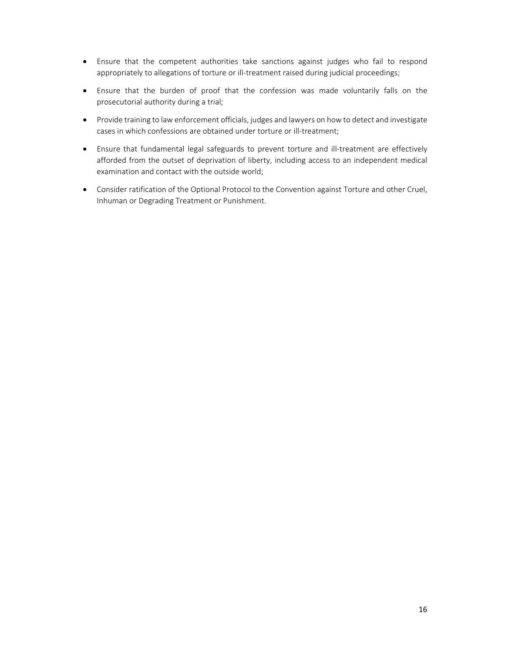- Ensure that the competent authorities take sanctions against judges who fail to respond appropriately to allegations of torture or ill-treatment raised during judicial proceedings;
- Ensure that the burden of proof that the confession was made voluntarily falls on the prosecutorial authority during a trial;
- Provide training to law enforcement officials, judges and lawyers on how to detect and investigate cases in which confessions are obtained under torture or ill-treatment;
- Ensure that fundamental legal safeguards to prevent torture and ill-treatment are effectively afforded from the outset of deprivation of liberty, including access to an independent medical examination and contact with the outside world;
- Consider ratification of the Optional Protocol to the Convention against Torture and other Cruel, Inhuman or Degrading Treatment or Punishment.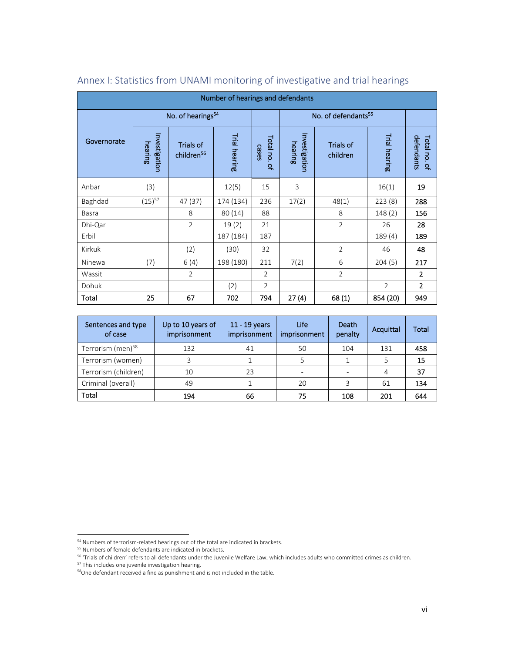| Number of hearings and defendants |                               |                                            |               |                       |                                 |                       |                |                            |  |  |  |  |
|-----------------------------------|-------------------------------|--------------------------------------------|---------------|-----------------------|---------------------------------|-----------------------|----------------|----------------------------|--|--|--|--|
|                                   | No. of hearings <sup>54</sup> |                                            |               |                       | No. of defendants <sup>55</sup> |                       |                |                            |  |  |  |  |
| Governorate                       | Investigation<br>hearing      | <b>Trials of</b><br>children <sup>56</sup> | Trial hearing | Total no. of<br>cases | Investigation<br>hearing        | Trials of<br>children | Trial hearing  | defendants<br>Total no. of |  |  |  |  |
| Anbar                             | (3)                           |                                            | 12(5)         | 15                    | 3                               |                       | 16(1)          | 19                         |  |  |  |  |
| Baghdad                           | $(15)^{57}$                   | 47 (37)                                    | 174 (134)     | 236                   | 17(2)                           | 48(1)                 | 223(8)         | 288                        |  |  |  |  |
| Basra                             |                               | 8                                          | 80 (14)       | 88                    |                                 | 8                     | 148(2)         | 156                        |  |  |  |  |
| Dhi-Qar                           |                               | $\overline{2}$                             | 19(2)         | 21                    |                                 | $\overline{2}$        | 26             | 28                         |  |  |  |  |
| Erbil                             |                               |                                            | 187 (184)     | 187                   |                                 |                       | 189(4)         | 189                        |  |  |  |  |
| Kirkuk                            |                               | (2)                                        | (30)          | 32                    |                                 | $\overline{2}$        | 46             | 48                         |  |  |  |  |
| Ninewa                            | (7)                           | 6(4)                                       | 198 (180)     | 211                   | 7(2)                            | 6                     | 204(5)         | 217                        |  |  |  |  |
| Wassit                            |                               | $\overline{2}$                             |               | $\overline{2}$        |                                 | $\overline{2}$        |                | $\overline{2}$             |  |  |  |  |
| Dohuk                             |                               |                                            | (2)           | $\overline{2}$        |                                 |                       | $\overline{2}$ | $\overline{2}$             |  |  |  |  |
| Total                             | 25                            | 67                                         | 702           | 794                   | 27(4)                           | 68(1)                 | 854 (20)       | 949                        |  |  |  |  |

# Annex I: Statistics from UNAMI monitoring of investigative and trial hearings

| Sentences and type<br>of case | Up to 10 years of<br>imprisonment | $11 - 19$ years<br>imprisonment | Life<br>imprisonment | Death<br>penalty | Acquittal | Total |
|-------------------------------|-----------------------------------|---------------------------------|----------------------|------------------|-----------|-------|
| Terrorism (men) <sup>58</sup> | 132                               | 41                              | 50                   | 104              | 131       | 458   |
| Terrorism (women)             |                                   |                                 |                      |                  |           | 15    |
| Terrorism (children)          | 10                                | 23                              |                      |                  |           | 37    |
| Criminal (overall)            | 49                                |                                 | 20                   |                  | 61        | 134   |
| Total                         | 194                               | 66                              | 75                   | 108              | 201       | 644   |

<sup>54</sup> Numbers of terrorism-related hearings out of the total are indicated in brackets.

<sup>55</sup> Numbers of female defendants are indicated in brackets.

<sup>56 &#</sup>x27;Trials of children' refers to all defendants under the Juvenile Welfare Law, which includes adults who committed crimes as children. 57 This includes one juvenile investigation hearing.

<sup>58</sup>One defendant received a fine as punishment and is not included in the table.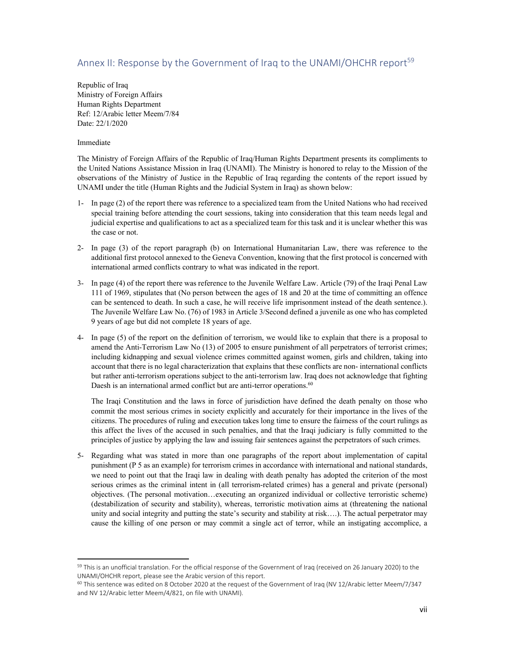## Annex II: Response by the Government of Iraq to the UNAMI/OHCHR report<sup>59</sup>

Republic of Iraq Ministry of Foreign Affairs Human Rights Department Ref: 12/Arabic letter Meem/7/84 Date: 22/1/2020

#### Immediate

The Ministry of Foreign Affairs of the Republic of Iraq/Human Rights Department presents its compliments to the United Nations Assistance Mission in Iraq (UNAMI). The Ministry is honored to relay to the Mission of the observations of the Ministry of Justice in the Republic of Iraq regarding the contents of the report issued by UNAMI under the title (Human Rights and the Judicial System in Iraq) as shown below:

- 1- In page (2) of the report there was reference to a specialized team from the United Nations who had received special training before attending the court sessions, taking into consideration that this team needs legal and judicial expertise and qualifications to act as a specialized team for this task and it is unclear whether this was the case or not.
- 2- In page (3) of the report paragraph (b) on International Humanitarian Law, there was reference to the additional first protocol annexed to the Geneva Convention, knowing that the first protocol is concerned with international armed conflicts contrary to what was indicated in the report.
- 3- In page (4) of the report there was reference to the Juvenile Welfare Law. Article (79) of the Iraqi Penal Law 111 of 1969, stipulates that (No person between the ages of 18 and 20 at the time of committing an offence can be sentenced to death. In such a case, he will receive life imprisonment instead of the death sentence.). The Juvenile Welfare Law No. (76) of 1983 in Article 3/Second defined a juvenile as one who has completed 9 years of age but did not complete 18 years of age.
- 4- In page (5) of the report on the definition of terrorism, we would like to explain that there is a proposal to amend the Anti-Terrorism Law No (13) of 2005 to ensure punishment of all perpetrators of terrorist crimes; including kidnapping and sexual violence crimes committed against women, girls and children, taking into account that there is no legal characterization that explains that these conflicts are non- international conflicts but rather anti-terrorism operations subject to the anti-terrorism law. Iraq does not acknowledge that fighting Daesh is an international armed conflict but are anti-terror operations.<sup>60</sup>

The Iraqi Constitution and the laws in force of jurisdiction have defined the death penalty on those who commit the most serious crimes in society explicitly and accurately for their importance in the lives of the citizens. The procedures of ruling and execution takes long time to ensure the fairness of the court rulings as this affect the lives of the accused in such penalties, and that the Iraqi judiciary is fully committed to the principles of justice by applying the law and issuing fair sentences against the perpetrators of such crimes.

5- Regarding what was stated in more than one paragraphs of the report about implementation of capital punishment (P 5 as an example) for terrorism crimes in accordance with international and national standards, we need to point out that the Iraqi law in dealing with death penalty has adopted the criterion of the most serious crimes as the criminal intent in (all terrorism-related crimes) has a general and private (personal) objectives. (The personal motivation…executing an organized individual or collective terroristic scheme) (destabilization of security and stability), whereas, terroristic motivation aims at (threatening the national unity and social integrity and putting the state's security and stability at risk….). The actual perpetrator may cause the killing of one person or may commit a single act of terror, while an instigating accomplice, a

<sup>&</sup>lt;sup>59</sup> This is an unofficial translation. For the official response of the Government of Iraq (received on 26 January 2020) to the UNAMI/OHCHR report, please see the Arabic version of this report.

 $60$  This sentence was edited on 8 October 2020 at the request of the Government of Iraq (NV 12/Arabic letter Meem/7/347 and NV 12/Arabic letter Meem/4/821, on file with UNAMI).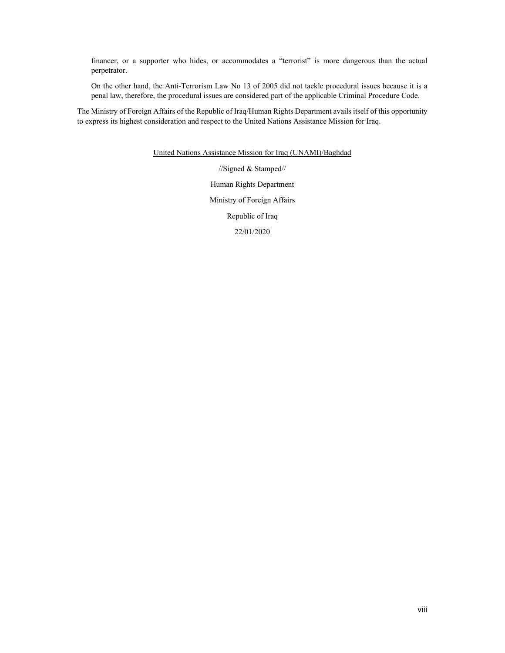financer, or a supporter who hides, or accommodates a "terrorist" is more dangerous than the actual perpetrator.

On the other hand, the Anti-Terrorism Law No 13 of 2005 did not tackle procedural issues because it is a penal law, therefore, the procedural issues are considered part of the applicable Criminal Procedure Code.

The Ministry of Foreign Affairs of the Republic of Iraq/Human Rights Department avails itself of this opportunity to express its highest consideration and respect to the United Nations Assistance Mission for Iraq.

United Nations Assistance Mission for Iraq (UNAMI)/Baghdad

//Signed & Stamped// Human Rights Department Ministry of Foreign Affairs Republic of Iraq 22/01/2020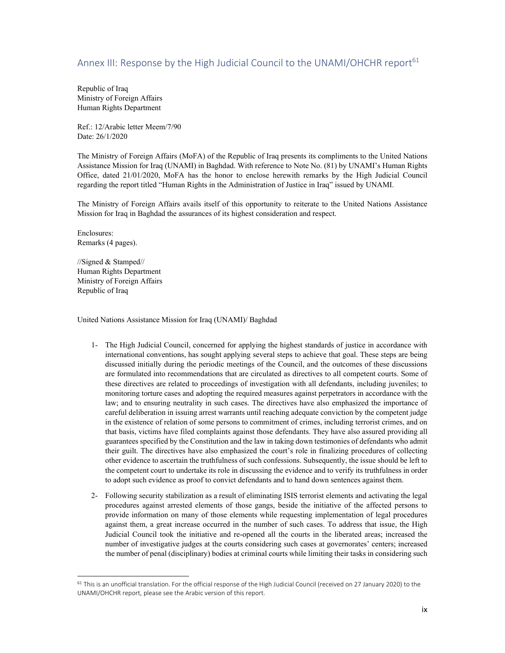## Annex III: Response by the High Judicial Council to the UNAMI/OHCHR report<sup>61</sup>

Republic of Iraq Ministry of Foreign Affairs Human Rights Department

Ref.: 12/Arabic letter Meem/7/90 Date: 26/1/2020

The Ministry of Foreign Affairs (MoFA) of the Republic of Iraq presents its compliments to the United Nations Assistance Mission for Iraq (UNAMI) in Baghdad. With reference to Note No. (81) by UNAMI's Human Rights Office, dated 21/01/2020, MoFA has the honor to enclose herewith remarks by the High Judicial Council regarding the report titled "Human Rights in the Administration of Justice in Iraq" issued by UNAMI.

The Ministry of Foreign Affairs avails itself of this opportunity to reiterate to the United Nations Assistance Mission for Iraq in Baghdad the assurances of its highest consideration and respect.

Enclosures: Remarks (4 pages).

//Signed & Stamped// Human Rights Department Ministry of Foreign Affairs Republic of Iraq

United Nations Assistance Mission for Iraq (UNAMI)/ Baghdad

- 1- The High Judicial Council, concerned for applying the highest standards of justice in accordance with international conventions, has sought applying several steps to achieve that goal. These steps are being discussed initially during the periodic meetings of the Council, and the outcomes of these discussions are formulated into recommendations that are circulated as directives to all competent courts. Some of these directives are related to proceedings of investigation with all defendants, including juveniles; to monitoring torture cases and adopting the required measures against perpetrators in accordance with the law; and to ensuring neutrality in such cases. The directives have also emphasized the importance of careful deliberation in issuing arrest warrants until reaching adequate conviction by the competent judge in the existence of relation of some persons to commitment of crimes, including terrorist crimes, and on that basis, victims have filed complaints against those defendants. They have also assured providing all guarantees specified by the Constitution and the law in taking down testimonies of defendants who admit their guilt. The directives have also emphasized the court's role in finalizing procedures of collecting other evidence to ascertain the truthfulness of such confessions. Subsequently, the issue should be left to the competent court to undertake its role in discussing the evidence and to verify its truthfulness in order to adopt such evidence as proof to convict defendants and to hand down sentences against them.
- 2- Following security stabilization as a result of eliminating ISIS terrorist elements and activating the legal procedures against arrested elements of those gangs, beside the initiative of the affected persons to provide information on many of those elements while requesting implementation of legal procedures against them, a great increase occurred in the number of such cases. To address that issue, the High Judicial Council took the initiative and re-opened all the courts in the liberated areas; increased the number of investigative judges at the courts considering such cases at governorates' centers; increased the number of penal (disciplinary) bodies at criminal courts while limiting their tasks in considering such

 $61$  This is an unofficial translation. For the official response of the High Judicial Council (received on 27 January 2020) to the UNAMI/OHCHR report, please see the Arabic version of this report.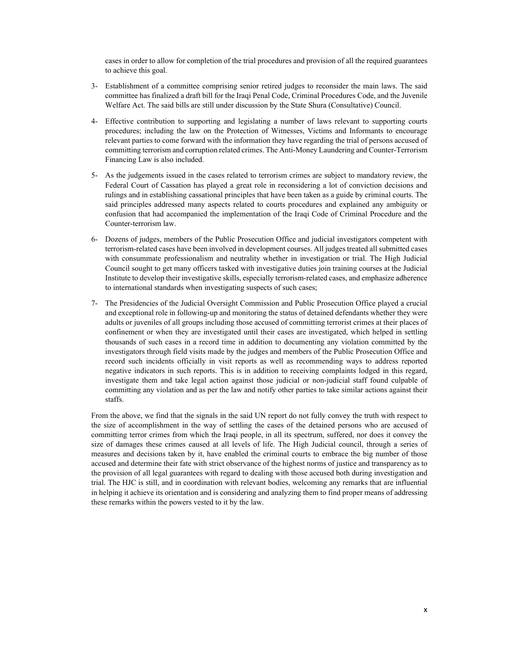cases in order to allow for completion of the trial procedures and provision of all the required guarantees to achieve this goal.

- 3- Establishment of a committee comprising senior retired judges to reconsider the main laws. The said committee has finalized a draft bill for the Iraqi Penal Code, Criminal Procedures Code, and the Juvenile Welfare Act. The said bills are still under discussion by the State Shura (Consultative) Council.
- 4- Effective contribution to supporting and legislating a number of laws relevant to supporting courts procedures; including the law on the Protection of Witnesses, Victims and Informants to encourage relevant parties to come forward with the information they have regarding the trial of persons accused of committing terrorism and corruption related crimes. The Anti-Money Laundering and Counter-Terrorism Financing Law is also included.
- 5- As the judgements issued in the cases related to terrorism crimes are subject to mandatory review, the Federal Court of Cassation has played a great role in reconsidering a lot of conviction decisions and rulings and in establishing cassational principles that have been taken as a guide by criminal courts. The said principles addressed many aspects related to courts procedures and explained any ambiguity or confusion that had accompanied the implementation of the Iraqi Code of Criminal Procedure and the Counter-terrorism law.
- 6- Dozens of judges, members of the Public Prosecution Office and judicial investigators competent with terrorism-related cases have been involved in development courses. All judges treated all submitted cases with consummate professionalism and neutrality whether in investigation or trial. The High Judicial Council sought to get many officers tasked with investigative duties join training courses at the Judicial Institute to develop their investigative skills, especially terrorism-related cases, and emphasize adherence to international standards when investigating suspects of such cases;
- 7- The Presidencies of the Judicial Oversight Commission and Public Prosecution Office played a crucial and exceptional role in following-up and monitoring the status of detained defendants whether they were adults or juveniles of all groups including those accused of committing terrorist crimes at their places of confinement or when they are investigated until their cases are investigated, which helped in settling thousands of such cases in a record time in addition to documenting any violation committed by the investigators through field visits made by the judges and members of the Public Prosecution Office and record such incidents officially in visit reports as well as recommending ways to address reported negative indicators in such reports. This is in addition to receiving complaints lodged in this regard, investigate them and take legal action against those judicial or non-judicial staff found culpable of committing any violation and as per the law and notify other parties to take similar actions against their staffs.

From the above, we find that the signals in the said UN report do not fully convey the truth with respect to the size of accomplishment in the way of settling the cases of the detained persons who are accused of committing terror crimes from which the Iraqi people, in all its spectrum, suffered, nor does it convey the size of damages these crimes caused at all levels of life. The High Judicial council, through a series of measures and decisions taken by it, have enabled the criminal courts to embrace the big number of those accused and determine their fate with strict observance of the highest norms of justice and transparency as to the provision of all legal guarantees with regard to dealing with those accused both during investigation and trial. The HJC is still, and in coordination with relevant bodies, welcoming any remarks that are influential in helping it achieve its orientation and is considering and analyzing them to find proper means of addressing these remarks within the powers vested to it by the law.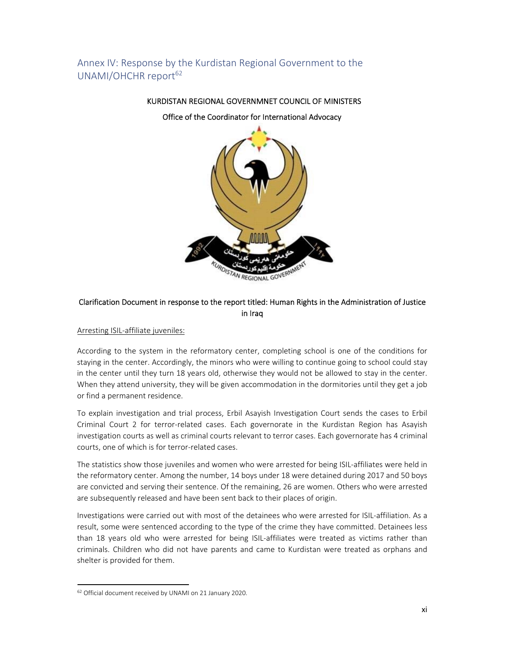# Annex IV: Response by the Kurdistan Regional Government to the UNAMI/OHCHR report $62$

Office of the Coordinator for International Advocacy

KURDISTAN REGIONAL GOVERNMNET COUNCIL OF MINISTERS



## Clarification Document in response to the report titled: Human Rights in the Administration of Justice in Iraq

### Arresting ISIL‐affiliate juveniles:

According to the system in the reformatory center, completing school is one of the conditions for staying in the center. Accordingly, the minors who were willing to continue going to school could stay in the center until they turn 18 years old, otherwise they would not be allowed to stay in the center. When they attend university, they will be given accommodation in the dormitories until they get a job or find a permanent residence.

To explain investigation and trial process, Erbil Asayish Investigation Court sends the cases to Erbil Criminal Court 2 for terror-related cases. Each governorate in the Kurdistan Region has Asayish investigation courts as well as criminal courts relevant to terror cases. Each governorate has 4 criminal courts, one of which is for terror‐related cases.

The statistics show those juveniles and women who were arrested for being ISIL‐affiliates were held in the reformatory center. Among the number, 14 boys under 18 were detained during 2017 and 50 boys are convicted and serving their sentence. Of the remaining, 26 are women. Others who were arrested are subsequently released and have been sent back to their places of origin.

Investigations were carried out with most of the detainees who were arrested for ISIL‐affiliation. As a result, some were sentenced according to the type of the crime they have committed. Detainees less than 18 years old who were arrested for being ISIL‐affiliates were treated as victims rather than criminals. Children who did not have parents and came to Kurdistan were treated as orphans and shelter is provided for them.

<sup>62</sup> Official document received by UNAMI on 21 January 2020.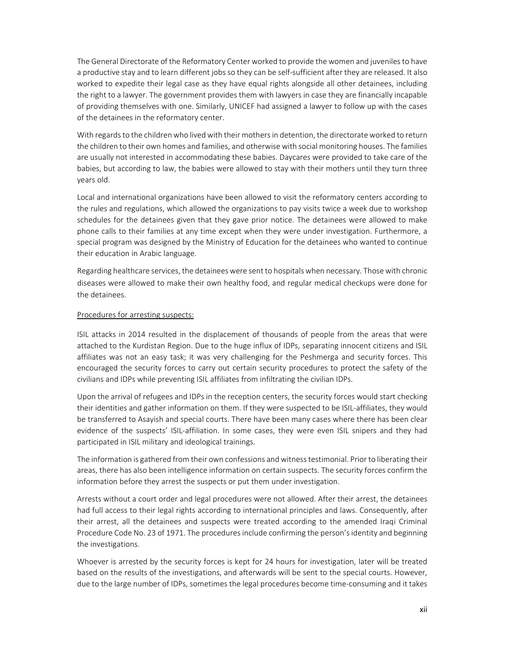The General Directorate of the Reformatory Center worked to provide the women and juveniles to have a productive stay and to learn different jobs so they can be self‐sufficient after they are released. It also worked to expedite their legal case as they have equal rights alongside all other detainees, including the right to a lawyer. The government provides them with lawyers in case they are financially incapable of providing themselves with one. Similarly, UNICEF had assigned a lawyer to follow up with the cases of the detainees in the reformatory center.

With regards to the children who lived with their mothers in detention, the directorate worked to return the children to their own homes and families, and otherwise with social monitoring houses. The families are usually not interested in accommodating these babies. Daycares were provided to take care of the babies, but according to law, the babies were allowed to stay with their mothers until they turn three years old.

Local and international organizations have been allowed to visit the reformatory centers according to the rules and regulations, which allowed the organizations to pay visits twice a week due to workshop schedules for the detainees given that they gave prior notice. The detainees were allowed to make phone calls to their families at any time except when they were under investigation. Furthermore, a special program was designed by the Ministry of Education for the detainees who wanted to continue their education in Arabic language.

Regarding healthcare services, the detainees were sent to hospitals when necessary. Those with chronic diseases were allowed to make their own healthy food, and regular medical checkups were done for the detainees.

#### Procedures for arresting suspects:

ISIL attacks in 2014 resulted in the displacement of thousands of people from the areas that were attached to the Kurdistan Region. Due to the huge influx of IDPs, separating innocent citizens and ISIL affiliates was not an easy task; it was very challenging for the Peshmerga and security forces. This encouraged the security forces to carry out certain security procedures to protect the safety of the civilians and IDPs while preventing ISIL affiliates from infiltrating the civilian IDPs.

Upon the arrival of refugees and IDPs in the reception centers, the security forces would start checking their identities and gather information on them. If they were suspected to be ISIL‐affiliates, they would be transferred to Asayish and special courts. There have been many cases where there has been clear evidence of the suspects' ISIL-affiliation. In some cases, they were even ISIL snipers and they had participated in ISIL military and ideological trainings.

The information is gathered from their own confessions and witness testimonial. Prior to liberating their areas, there has also been intelligence information on certain suspects. The security forces confirm the information before they arrest the suspects or put them under investigation.

Arrests without a court order and legal procedures were not allowed. After their arrest, the detainees had full access to their legal rights according to international principles and laws. Consequently, after their arrest, all the detainees and suspects were treated according to the amended Iraqi Criminal Procedure Code No. 23 of 1971. The procedures include confirming the person's identity and beginning the investigations.

Whoever is arrested by the security forces is kept for 24 hours for investigation, later will be treated based on the results of the investigations, and afterwards will be sent to the special courts. However, due to the large number of IDPs, sometimes the legal procedures become time‐consuming and it takes